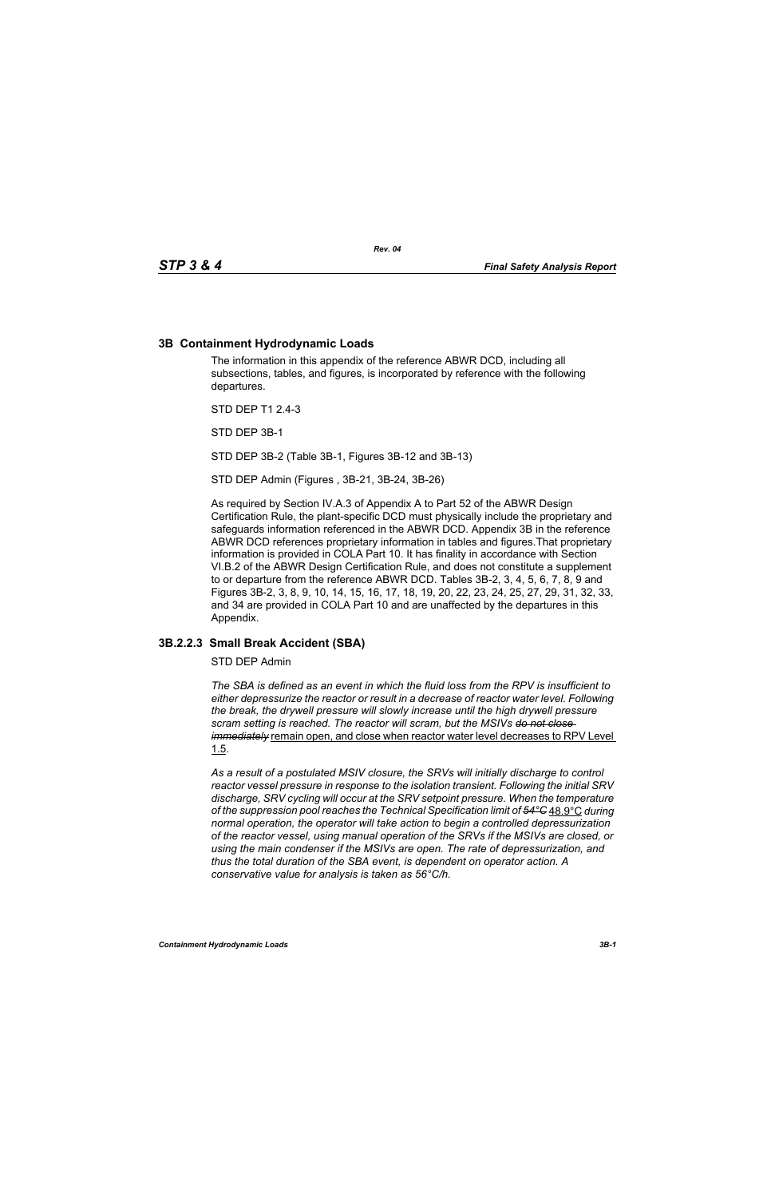# **3B Containment Hydrodynamic Loads**

The information in this appendix of the reference ABWR DCD, including all subsections, tables, and figures, is incorporated by reference with the following departures.

STD DEP T1 2.4-3

STD DEP 3B-1

STD DEP 3B-2 (Table 3B-1, Figures 3B-12 and 3B-13)

STD DEP Admin (Figures , 3B-21, 3B-24, 3B-26)

As required by Section IV.A.3 of Appendix A to Part 52 of the ABWR Design Certification Rule, the plant-specific DCD must physically include the proprietary and safeguards information referenced in the ABWR DCD. Appendix 3B in the reference ABWR DCD references proprietary information in tables and figures.That proprietary information is provided in COLA Part 10. It has finality in accordance with Section VI.B.2 of the ABWR Design Certification Rule, and does not constitute a supplement to or departure from the reference ABWR DCD. Tables 3B-2, 3, 4, 5, 6, 7, 8, 9 and Figures 3B-2, 3, 8, 9, 10, 14, 15, 16, 17, 18, 19, 20, 22, 23, 24, 25, 27, 29, 31, 32, 33, and 34 are provided in COLA Part 10 and are unaffected by the departures in this Appendix.

# **3B.2.2.3 Small Break Accident (SBA)**

STD DEP Admin

*The SBA is defined as an event in which the fluid loss from the RPV is insufficient to either depressurize the reactor or result in a decrease of reactor water level. Following the break, the drywell pressure will slowly increase until the high drywell pressure scram setting is reached. The reactor will scram, but the MSIVs do not close immediately* remain open, and close when reactor water level decreases to RPV Level 1.5.

*As a result of a postulated MSIV closure, the SRVs will initially discharge to control reactor vessel pressure in response to the isolation transient. Following the initial SRV discharge, SRV cycling will occur at the SRV setpoint pressure. When the temperature of the suppression pool reaches the Technical Specification limit of 54°C* 48.9°C *during normal operation, the operator will take action to begin a controlled depressurization of the reactor vessel, using manual operation of the SRVs if the MSIVs are closed, or using the main condenser if the MSIVs are open. The rate of depressurization, and thus the total duration of the SBA event, is dependent on operator action. A conservative value for analysis is taken as 56°C/h.*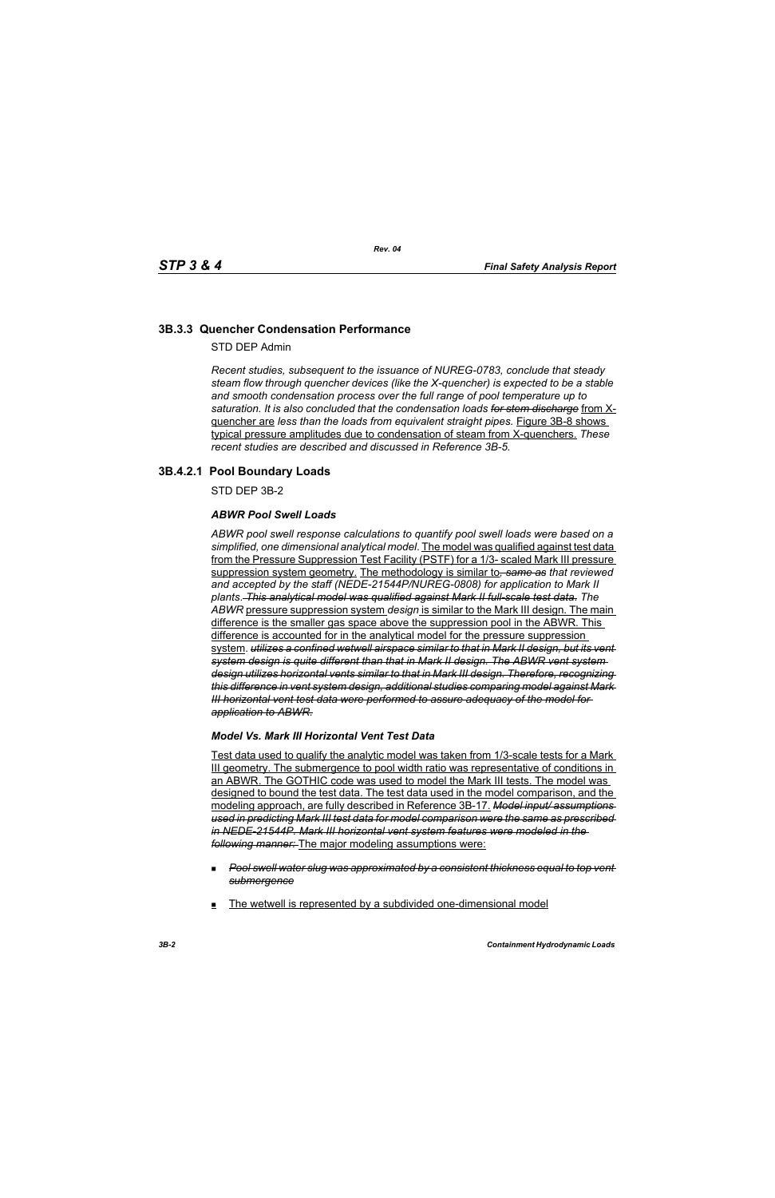# **3B.3.3 Quencher Condensation Performance**

STD DEP Admin

*Recent studies, subsequent to the issuance of NUREG-0783, conclude that steady steam flow through quencher devices (like the X-quencher) is expected to be a stable and smooth condensation process over the full range of pool temperature up to saturation. It is also concluded that the condensation loads for stem discharge* from Xquencher are *less than the loads from equivalent straight pipes.* Figure 3B-8 shows typical pressure amplitudes due to condensation of steam from X-quenchers. *These recent studies are described and discussed in Reference 3B-5.*

# **3B.4.2.1 Pool Boundary Loads**

STD DEP 3B-2

### *ABWR Pool Swell Loads*

*ABWR pool swell response calculations to quantify pool swell loads were based on a simplified, one dimensional analytical model*. The model was qualified against test data from the Pressure Suppression Test Facility (PSTF) for a 1/3- scaled Mark III pressure suppression system geometry. The methodology is similar to*, same as that reviewed and accepted by the staff (NEDE-21544P/NUREG-0808) for application to Mark II plants*. *This analytical model was qualified against Mark II full-scale test data*. *The ABWR* pressure suppression system *design* is similar to the Mark III design. The main difference is the smaller gas space above the suppression pool in the ABWR. This difference is accounted for in the analytical model for the pressure suppression system. *utilizes a confined wetwell airspace similar to that in Mark II design, but its vent system design is quite different than that in Mark II design. The ABWR vent system design utilizes horizontal vents similar to that in Mark III design. Therefore, recognizing this difference in vent system design, additional studies comparing model against Mark III horizontal vent test data were performed to assure adequacy of the model for application to ABWR.*

#### *Model Vs. Mark III Horizontal Vent Test Data*

Test data used to qualify the analytic model was taken from 1/3-scale tests for a Mark III geometry. The submergence to pool width ratio was representative of conditions in an ABWR. The GOTHIC code was used to model the Mark III tests. The model was designed to bound the test data. The test data used in the model comparison, and the modeling approach, are fully described in Reference 3B-17. *Model input/ assumptions used in predicting Mark III test data for model comparison were the same as prescribed in NEDE-21544P. Mark III horizontal vent system features were modeled in the following manner:* The major modeling assumptions were:

- *Pool swell water slug was approximated by a consistent thickness equal to top vent submergence*
- The wetwell is represented by a subdivided one-dimensional model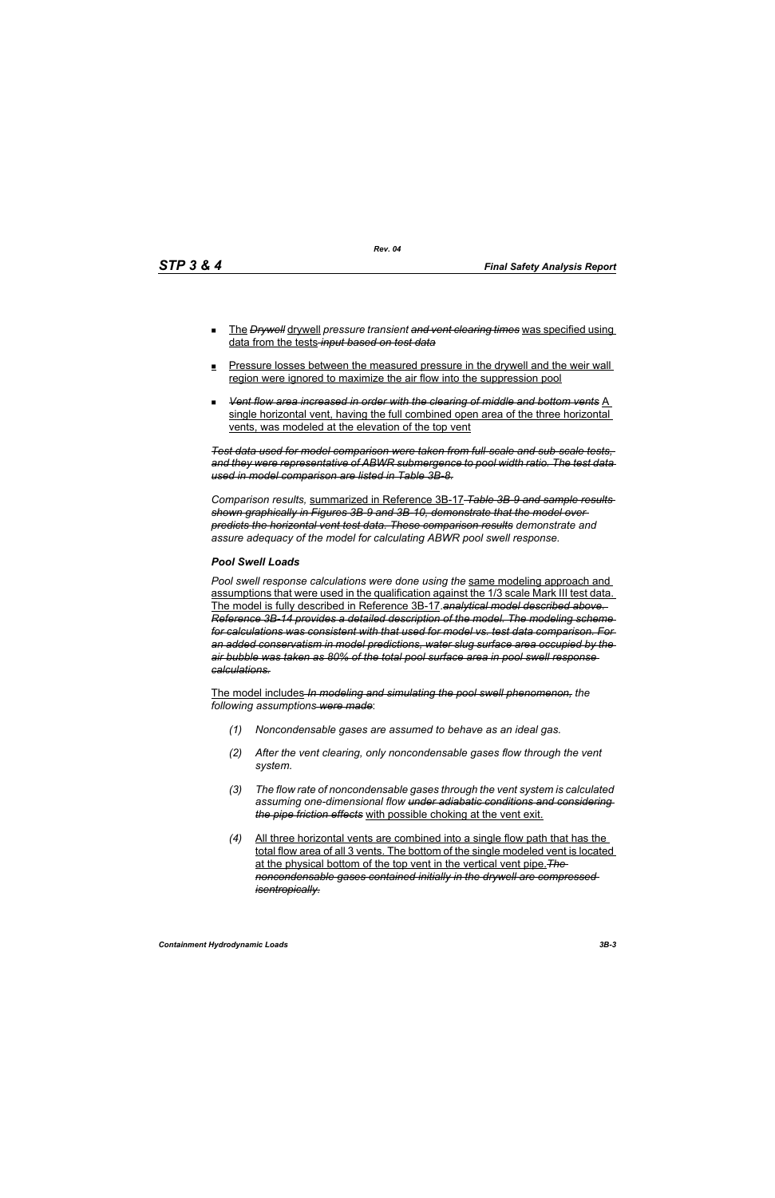- The *Drywell* drywell *pressure transient and vent clearing times* was specified using data from the tests *input based on test data*
- **Pressure losses between the measured pressure in the drywell and the weir wall** region were ignored to maximize the air flow into the suppression pool
- *Vent flow area increased in order with the clearing of middle and bottom vents* A single horizontal vent, having the full combined open area of the three horizontal vents, was modeled at the elevation of the top vent

*Test data used for model comparison were taken from full-scale and sub-scale tests, and they were representative of ABWR submergence to pool width ratio. The test data used in model comparison are listed in Table 3B-8.*

*Comparison results,* summarized in Reference 3B-17 *Table 3B-9 and sample results shown graphically in Figures 3B-9 and 3B-10, demonstrate that the model over predicts the horizontal vent test data. These comparison results demonstrate and assure adequacy of the model for calculating ABWR pool swell response.*

#### *Pool Swell Loads*

*Pool swell response calculations were done using the* same modeling approach and assumptions that were used in the qualification against the 1/3 scale Mark III test data. The model is fully described in Reference 3B-17.*analytical model described above. Reference 3B-14 provides a detailed description of the model. The modeling scheme for calculations was consistent with that used for model vs. test data comparison. For an added conservatism in model predictions, water slug surface area occupied by the air bubble was taken as 80% of the total pool surface area in pool swell response calculations.*

The model includes *In modeling and simulating the pool swell phenomenon, the following assumptions were made*:

- *(1) Noncondensable gases are assumed to behave as an ideal gas.*
- *(2) After the vent clearing, only noncondensable gases flow through the vent system.*
- *(3) The flow rate of noncondensable gases through the vent system is calculated assuming one-dimensional flow under adiabatic conditions and considering the pipe friction effects* with possible choking at the vent exit.
- *(4)* All three horizontal vents are combined into a single flow path that has the total flow area of all 3 vents. The bottom of the single modeled vent is located at the physical bottom of the top vent in the vertical vent pipe.*The noncondensable gases contained initially in the drywell are compressed isentropically.*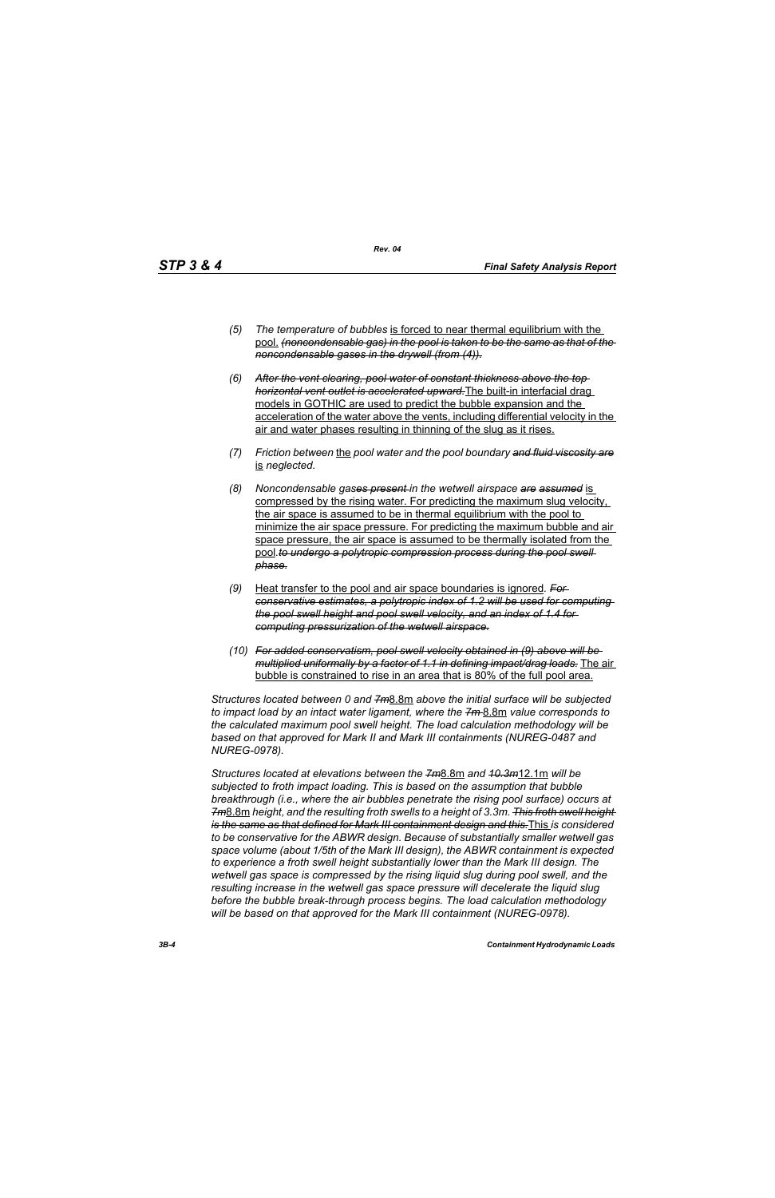- *(5) The temperature of bubbles* is forced to near thermal equilibrium with the pool. *(noncondensable gas) in the pool is taken to be the same as that of the noncondensable gases in the drywell (from (4)).*
- *(6) After the vent clearing, pool water of constant thickness above the top horizontal vent outlet is accelerated upward.*The built-in interfacial drag models in GOTHIC are used to predict the bubble expansion and the acceleration of the water above the vents, including differential velocity in the air and water phases resulting in thinning of the slug as it rises.
- *(7) Friction between* the *pool water and the pool boundary and fluid viscosity are* is *neglected.*
- *(8) Noncondensable gases present in the wetwell airspace are assumed* is compressed by the rising water. For predicting the maximum slug velocity, the air space is assumed to be in thermal equilibrium with the pool to minimize the air space pressure. For predicting the maximum bubble and air space pressure, the air space is assumed to be thermally isolated from the pool.to undergo a polytropic compression process during the pool swell *phase.*
- *(9)* Heat transfer to the pool and air space boundaries is ignored*. For conservative estimates, a polytropic index of 1.2 will be used for computing the pool swell height and pool swell velocity, and an index of 1.4 for computing pressurization of the wetwell airspace.*
- *(10) For added conservatism, pool swell velocity obtained in (9) above will be multiplied uniformally by a factor of 1.1 in defining impact/drag loads.* The air bubble is constrained to rise in an area that is 80% of the full pool area.

*Structures located between 0 and 7m*8.8m *above the initial surface will be subjected to impact load by an intact water ligament, where the 7m* 8.8m *value corresponds to the calculated maximum pool swell height. The load calculation methodology will be based on that approved for Mark II and Mark III containments (NUREG-0487 and NUREG-0978).*

*Structures located at elevations between the 7m*8.8m *and 10.3m*12.1m *will be subjected to froth impact loading. This is based on the assumption that bubble breakthrough (i.e., where the air bubbles penetrate the rising pool surface) occurs at 7m*8.8m *height, and the resulting froth swells to a height of 3.3m. This froth swell height is the same as that defined for Mark III containment design and this.*This *is considered to be conservative for the ABWR design. Because of substantially smaller wetwell gas space volume (about 1/5th of the Mark III design), the ABWR containment is expected to experience a froth swell height substantially lower than the Mark III design. The wetwell gas space is compressed by the rising liquid slug during pool swell, and the resulting increase in the wetwell gas space pressure will decelerate the liquid slug before the bubble break-through process begins. The load calculation methodology will be based on that approved for the Mark III containment (NUREG-0978).*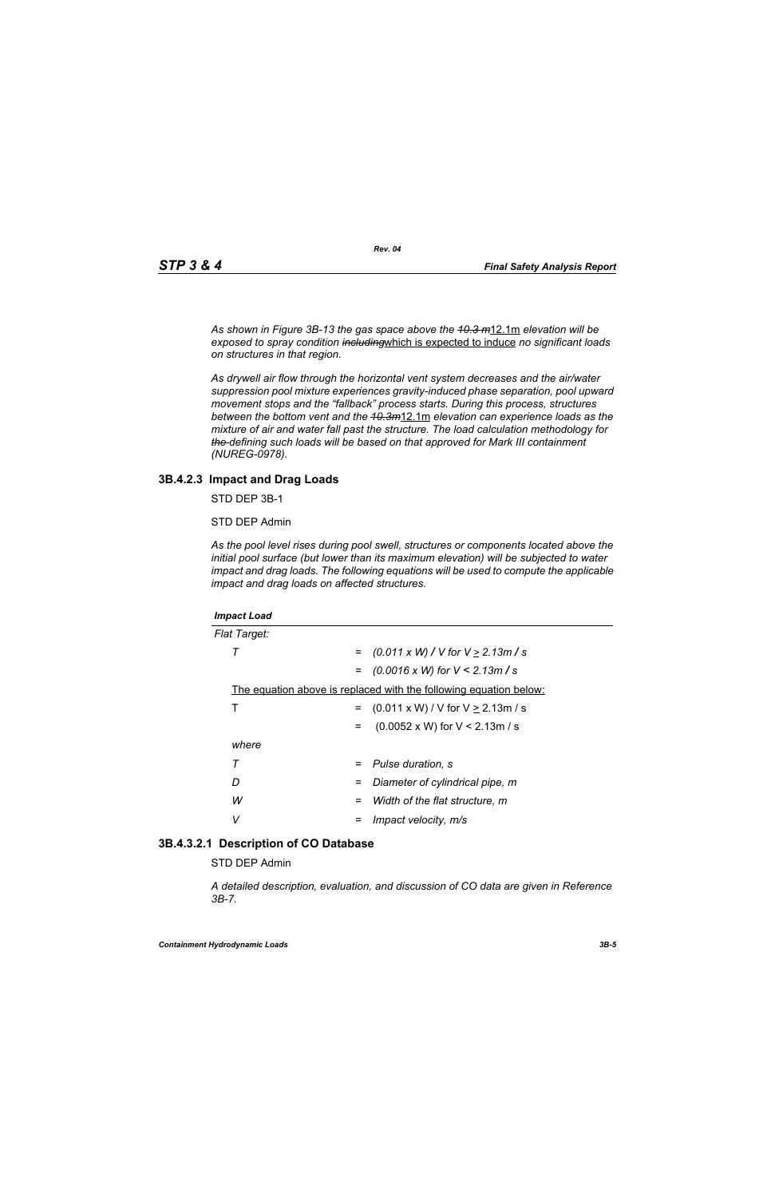*As shown in Figure 3B-13 the gas space above the 10.3 m*12.1m *elevation will be exposed to spray condition including*which is expected to induce *no significant loads on structures in that region.* 

*As drywell air flow through the horizontal vent system decreases and the air/water suppression pool mixture experiences gravity-induced phase separation, pool upward movement stops and the "fallback" process starts. During this process, structures between the bottom vent and the 10.3m*12.1m *elevation can experience loads as the mixture of air and water fall past the structure. The load calculation methodology for the defining such loads will be based on that approved for Mark III containment (NUREG-0978).*

#### **3B.4.2.3 Impact and Drag Loads**

STD DEP 3B-1

STD DEP Admin

*As the pool level rises during pool swell, structures or components located above the initial pool surface (but lower than its maximum elevation) will be subjected to water impact and drag loads. The following equations will be used to compute the applicable impact and drag loads on affected structures.*

| <b>Impact Load</b>                                                |                                               |
|-------------------------------------------------------------------|-----------------------------------------------|
| <b>Flat Target:</b>                                               |                                               |
| т<br>$=$                                                          | $(0.011 \times W)$ / V for V $\geq$ 2.13m / s |
|                                                                   | $=$ (0.0016 x W) for V < 2.13m / s            |
| The equation above is replaced with the following equation below: |                                               |
| Т<br>$=$                                                          | $(0.011 \times W) / V$ for $V \ge 2.13$ m / s |
| $=$                                                               | $(0.0052 \times W)$ for V < 2.13m / s         |
| where                                                             |                                               |
| Τ<br>$=$                                                          | Pulse duration, s                             |
| D<br>=                                                            | Diameter of cylindrical pipe, m               |
| W<br>=                                                            | Width of the flat structure, m                |
| v                                                                 | Impact velocity, m/s                          |

#### **3B.4.3.2.1 Description of CO Database**

STD DEP Admin

*A detailed description, evaluation, and discussion of CO data are given in Reference 3B-7.*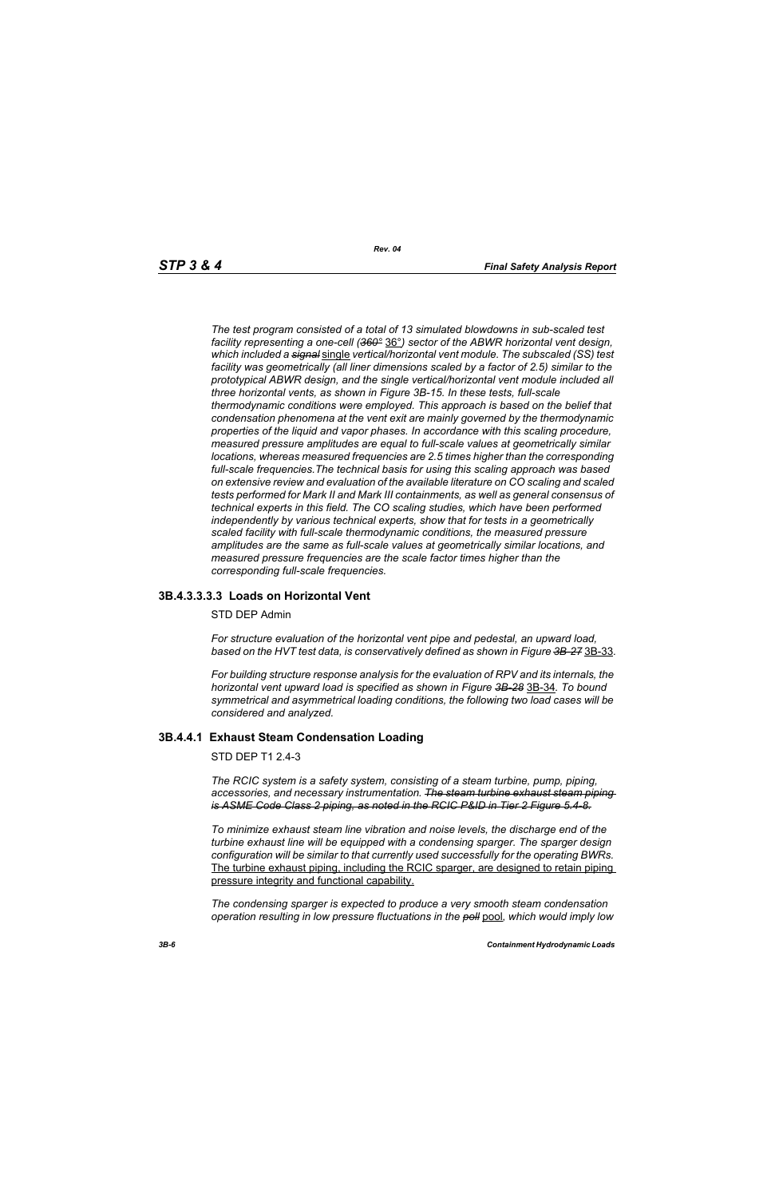*The test program consisted of a total of 13 simulated blowdowns in sub-scaled test facility representing a one-cell (360°* 36°*) sector of the ABWR horizontal vent design, which included a signal* single *vertical/horizontal vent module. The subscaled (SS) test facility was geometrically (all liner dimensions scaled by a factor of 2.5) similar to the prototypical ABWR design, and the single vertical/horizontal vent module included all three horizontal vents, as shown in Figure 3B-15. In these tests, full-scale thermodynamic conditions were employed. This approach is based on the belief that condensation phenomena at the vent exit are mainly governed by the thermodynamic properties of the liquid and vapor phases. In accordance with this scaling procedure, measured pressure amplitudes are equal to full-scale values at geometrically similar locations, whereas measured frequencies are 2.5 times higher than the corresponding full-scale frequencies.The technical basis for using this scaling approach was based on extensive review and evaluation of the available literature on CO scaling and scaled tests performed for Mark II and Mark III containments, as well as general consensus of technical experts in this field. The CO scaling studies, which have been performed independently by various technical experts, show that for tests in a geometrically scaled facility with full-scale thermodynamic conditions, the measured pressure amplitudes are the same as full-scale values at geometrically similar locations, and measured pressure frequencies are the scale factor times higher than the corresponding full-scale frequencies.*

# **3B.4.3.3.3.3 Loads on Horizontal Vent**

#### STD DEP Admin

*For structure evaluation of the horizontal vent pipe and pedestal, an upward load, based on the HVT test data, is conservatively defined as shown in Figure 3B-27* 3B-33*.*

*For building structure response analysis for the evaluation of RPV and its internals, the horizontal vent upward load is specified as shown in Figure 3B-28* 3B-34*. To bound symmetrical and asymmetrical loading conditions, the following two load cases will be considered and analyzed.*

#### **3B.4.4.1 Exhaust Steam Condensation Loading**

STD DEP T1 2.4-3

*The RCIC system is a safety system, consisting of a steam turbine, pump, piping, accessories, and necessary instrumentation. The steam turbine exhaust steam piping is ASME Code Class 2 piping, as noted in the RCIC P&ID in Tier 2 Figure 5.4-8.*

*To minimize exhaust steam line vibration and noise levels, the discharge end of the turbine exhaust line will be equipped with a condensing sparger. The sparger design configuration will be similar to that currently used successfully for the operating BWRs.* The turbine exhaust piping, including the RCIC sparger, are designed to retain piping pressure integrity and functional capability.

*The condensing sparger is expected to produce a very smooth steam condensation operation resulting in low pressure fluctuations in the poll* pool*, which would imply low*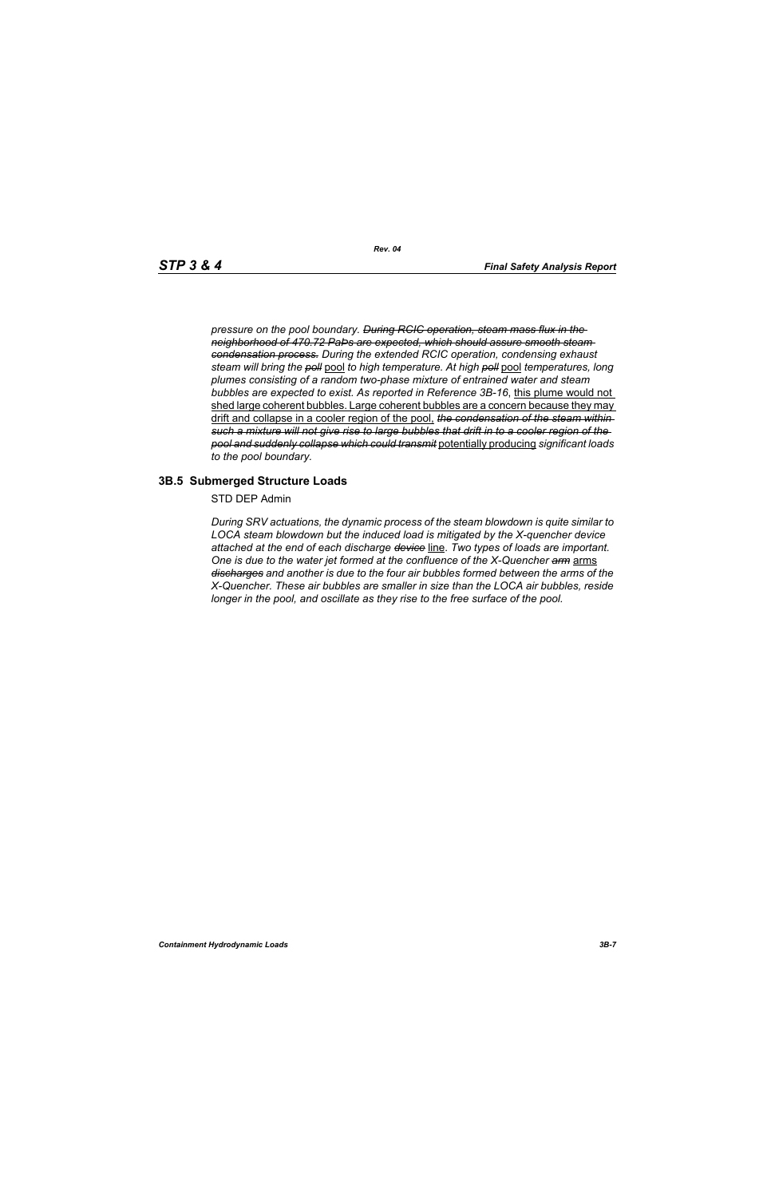*pressure on the pool boundary. During RCIC operation, steam mass flux in the neighborhood of 470.72 PaÞs are expected, which should assure smooth steam condensation process. During the extended RCIC operation, condensing exhaust steam will bring the poll* pool *to high temperature. At high poll* pool *temperatures, long plumes consisting of a random two-phase mixture of entrained water and steam bubbles are expected to exist. As reported in Reference 3B-16*, this plume would not shed large coherent bubbles. Large coherent bubbles are a concern because they may drift and collapse in a cooler region of the pool, *the condensation of the steam within such a mixture will not give rise to large bubbles that drift in to a cooler region of the pool and suddenly collapse which could transmit* potentially producing *significant loads to the pool boundary.*

#### **3B.5 Submerged Structure Loads**

STD DEP Admin

*During SRV actuations, the dynamic process of the steam blowdown is quite similar to LOCA steam blowdown but the induced load is mitigated by the X-quencher device attached at the end of each discharge device* line. *Two types of loads are important. One is due to the water jet formed at the confluence of the X-Quencher arm* arms *discharges and another is due to the four air bubbles formed between the arms of the X-Quencher. These air bubbles are smaller in size than the LOCA air bubbles, reside longer in the pool, and oscillate as they rise to the free surface of the pool.*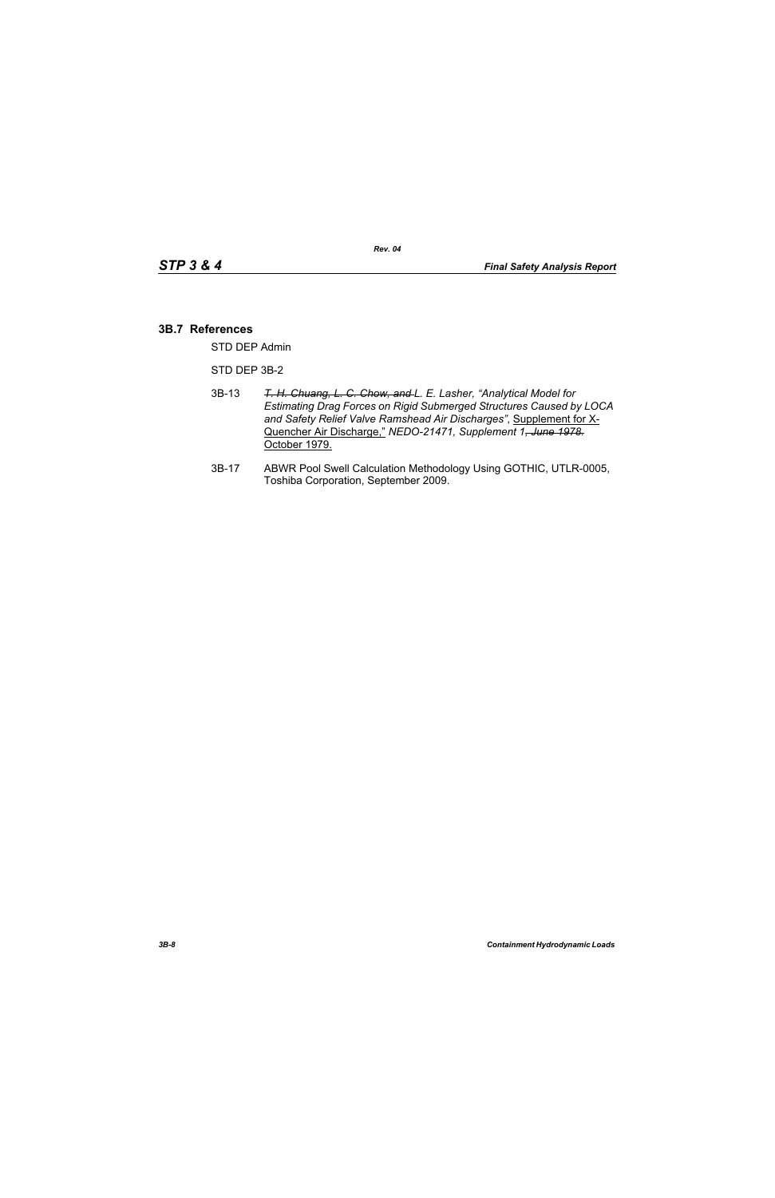#### **3B.7 References**

STD DEP Admin

STD DEP 3B-2

- 3B-13 *T. H. Chuang, L. C. Chow, and L. E. Lasher, "Analytical Model for Estimating Drag Forces on Rigid Submerged Structures Caused by LOCA and Safety Relief Valve Ramshead Air Discharges"*, Supplement for X-Quencher Air Discharge," *NEDO-21471, Supplement 1, June 1978.* October 1979.
- 3B-17 ABWR Pool Swell Calculation Methodology Using GOTHIC, UTLR-0005, Toshiba Corporation, September 2009.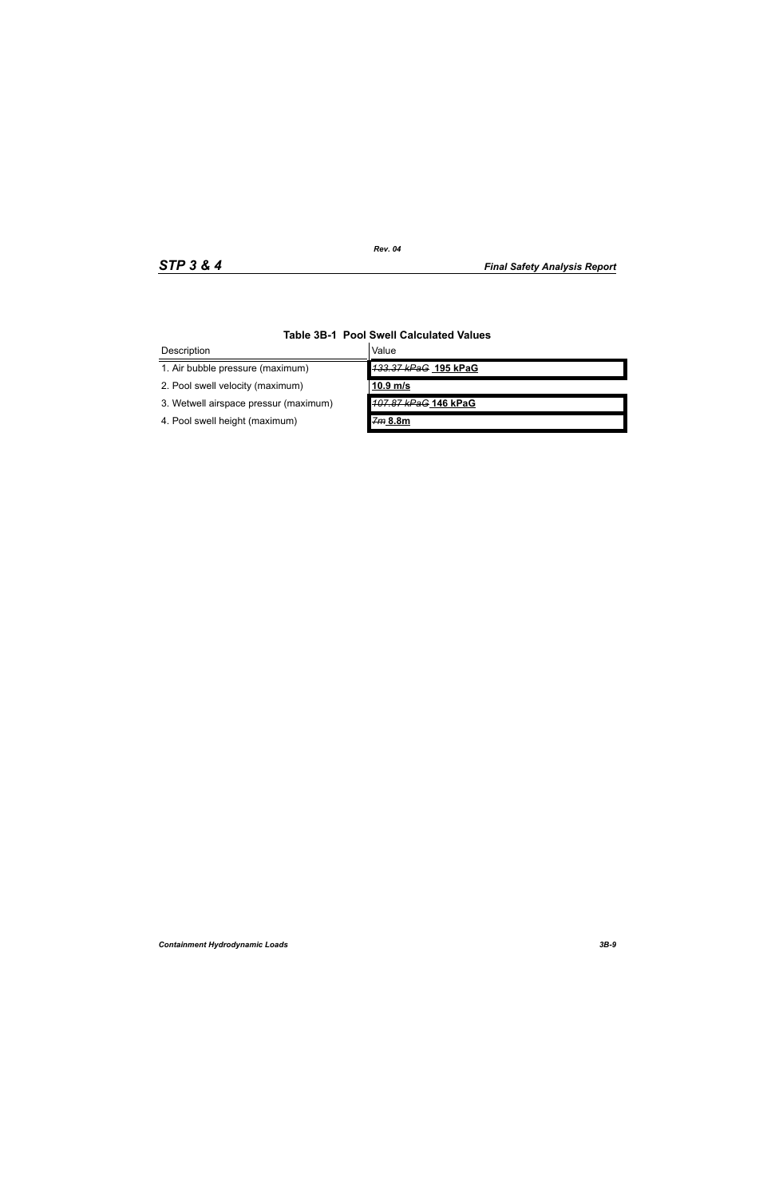| Description                           | Value                |  |
|---------------------------------------|----------------------|--|
| 1. Air bubble pressure (maximum)      | 133.37 kPaG 195 kPaG |  |
| 2. Pool swell velocity (maximum)      | $10.9$ m/s           |  |
| 3. Wetwell airspace pressur (maximum) | 107.87 kPaG 146 kPaG |  |
| 4. Pool swell height (maximum)        | 7m 8.8m              |  |

# **Table 3B-1 Pool Swell Calculated Values**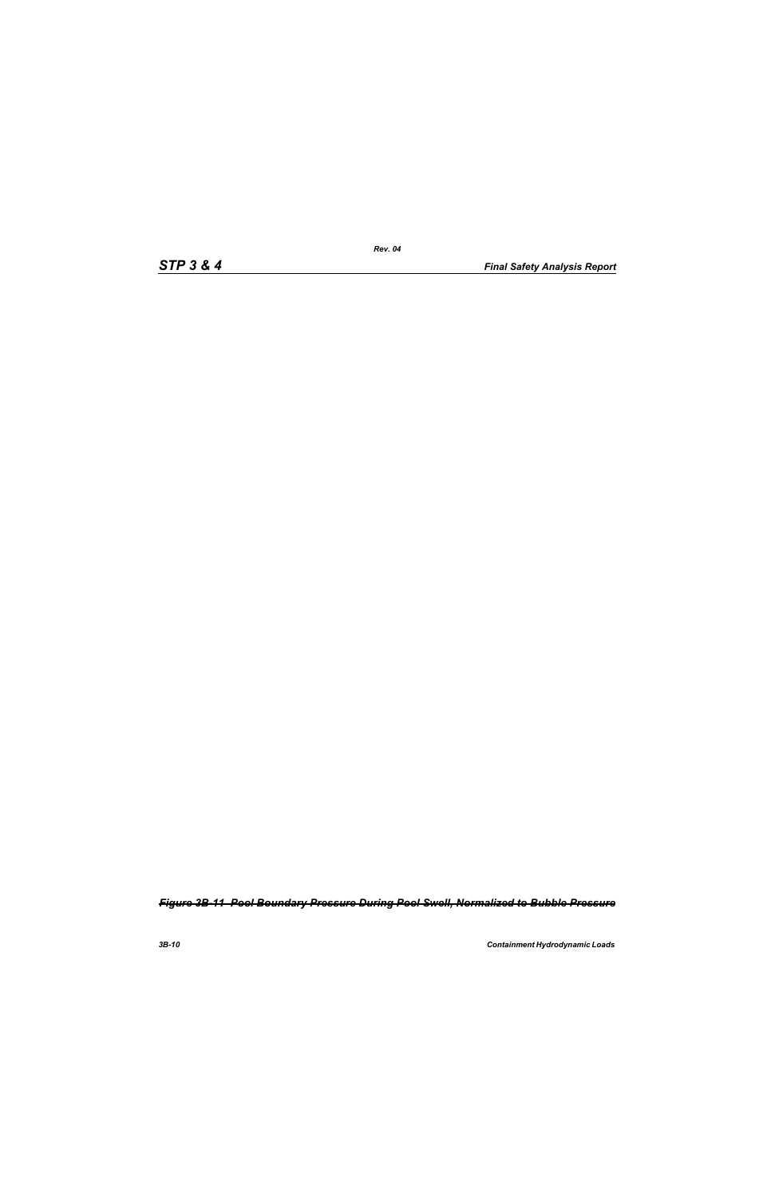*Figure 3B-11 Pool Boundary Pressure During Pool Swell, Normalized to Bubble Pressure*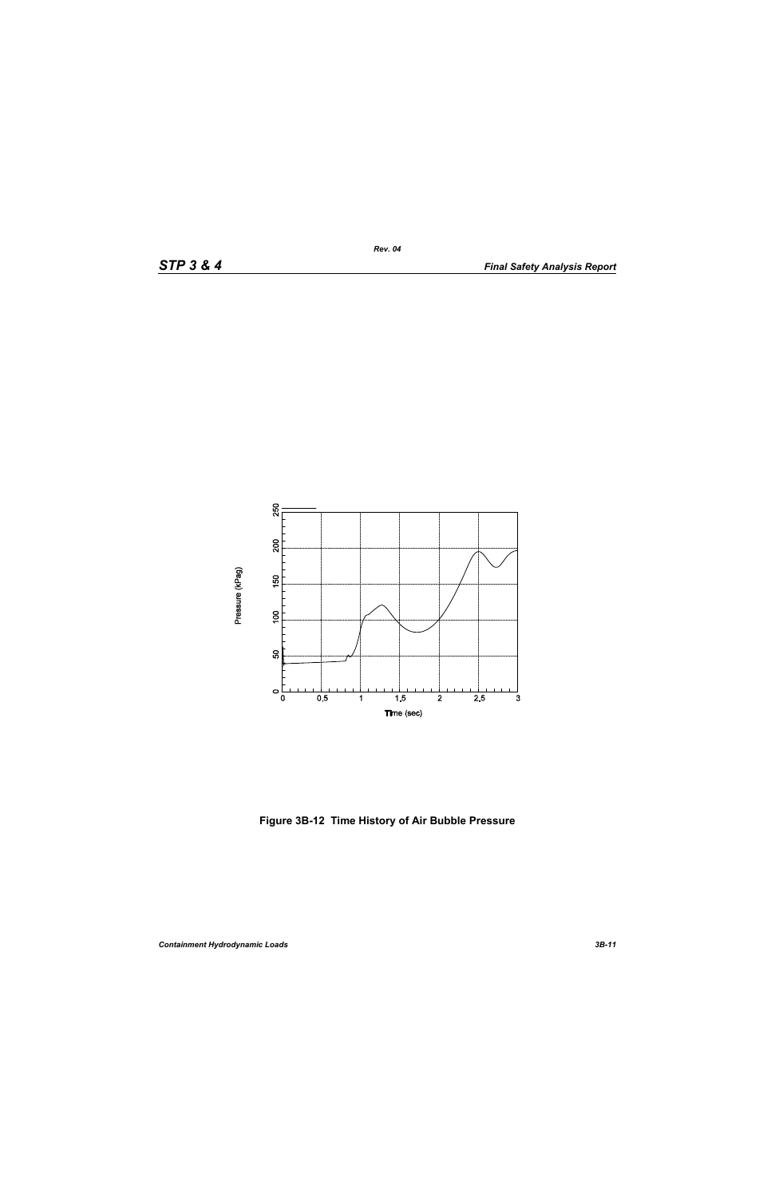

**Figure 3B-12 Time History of Air Bubble Pressure**

*Rev. 04*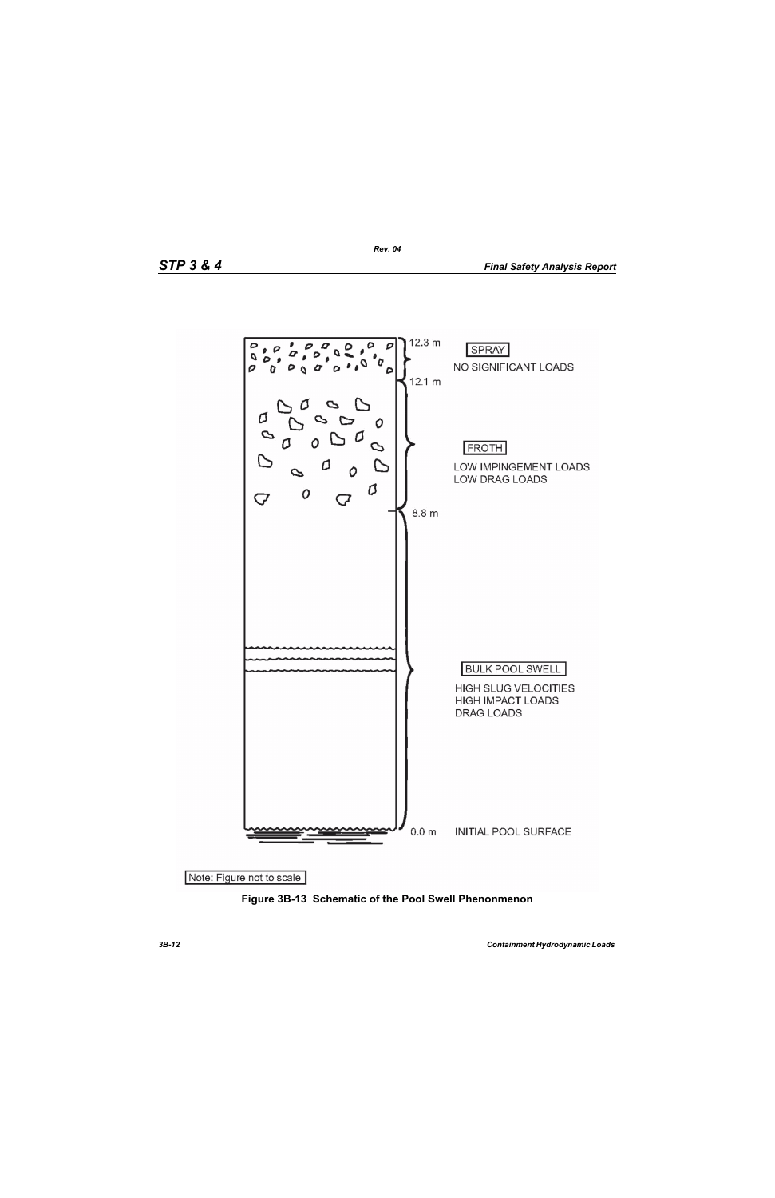

**Figure 3B-13 Schematic of the Pool Swell Phenonmenon**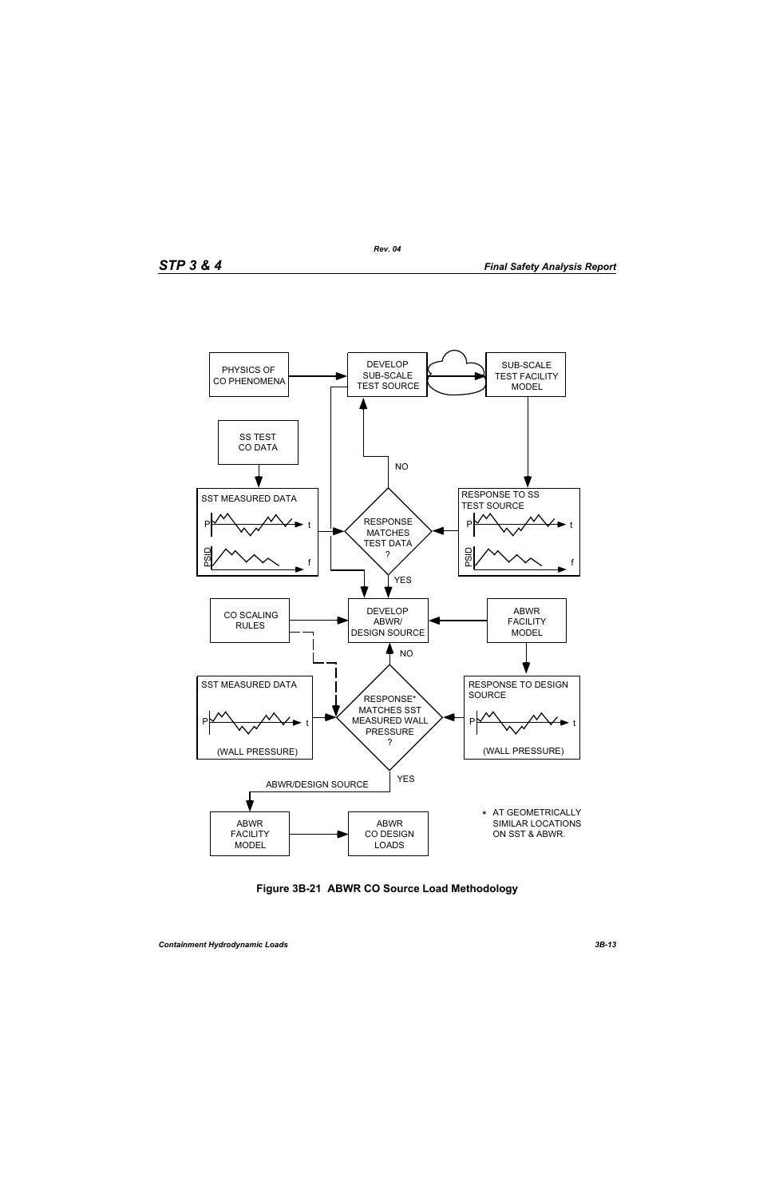

**Figure 3B-21 ABWR CO Source Load Methodology**